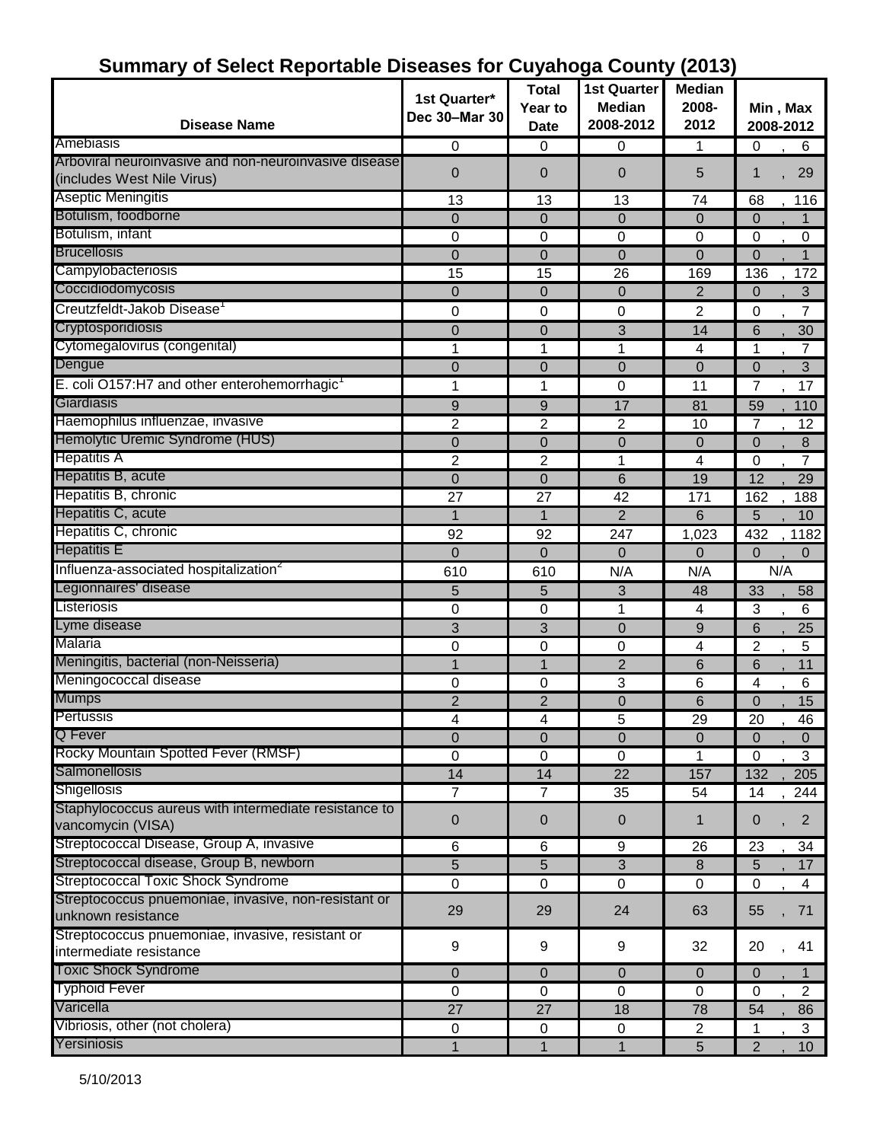| <b>Disease Name</b>                                                                 | 1st Quarter*<br>Dec 30-Mar 30 | <b>Total</b><br>Year to | <b>1st Quarter</b><br><b>Median</b><br>2008-2012 | <b>Median</b><br>2008-<br>2012 | Min, Max<br>2008-2012         |
|-------------------------------------------------------------------------------------|-------------------------------|-------------------------|--------------------------------------------------|--------------------------------|-------------------------------|
| Amebiasis                                                                           |                               | <b>Date</b><br>0        |                                                  |                                |                               |
| Arboviral neuroinvasive and non-neuroinvasive disease<br>(includes West Nile Virus) | 0<br>0                        | $\overline{0}$          | 0<br>$\overline{0}$                              | 1<br>5                         | 0<br>6<br>29<br>1             |
| <b>Aseptic Meningitis</b>                                                           | 13                            | 13                      | 13                                               | 74                             | 68<br>116                     |
| Botulism, foodborne                                                                 | 0                             | $\overline{0}$          | 0                                                | $\overline{0}$                 | 0<br>1                        |
| Botulism, infant                                                                    | 0                             | 0                       | 0                                                | $\Omega$                       | 0<br>0                        |
| <b>Brucellosis</b>                                                                  | 0                             | $\mathbf 0$             | $\mathbf 0$                                      | $\mathbf 0$                    | $\overline{0}$<br>1           |
| Campylobacteriosis                                                                  | 15                            | 15                      | 26                                               | 169                            | 136<br>172                    |
| Coccidiodomycosis                                                                   | 0                             | $\overline{0}$          | $\mathbf 0$                                      | $\overline{2}$                 | 3<br>0                        |
| Creutzfeldt-Jakob Disease                                                           | 0                             | 0                       | 0                                                | 2                              | 7<br>0                        |
| Cryptosporidiosis                                                                   | 0                             | $\overline{0}$          | 3                                                | 14                             | 6<br>30                       |
| Cytomegalovirus (congenital)                                                        | 1                             | 1                       | 1                                                | 4                              | 1<br>7                        |
| Dengue                                                                              | 0                             | $\overline{0}$          | $\mathbf 0$                                      | $\overline{0}$                 | $\mathbf 0$<br>3              |
| E. coli O157:H7 and other enterohemorrhagic                                         | 1                             | 1                       | $\mathbf 0$                                      | 11                             | 7<br>17                       |
| Giardiasis                                                                          | 9                             | 9                       | 17                                               | 81                             | 59<br>110                     |
| Haemophilus influenzae, invasive                                                    | 2                             | $\overline{c}$          | $\overline{2}$                                   | 10                             | 12<br>7                       |
| Hemolytic Uremic Syndrome (HUS)                                                     | 0                             | $\mathbf 0$             | $\mathbf 0$                                      | $\overline{0}$                 | 8<br>0                        |
| <b>Hepatitis A</b>                                                                  | 2                             | $\overline{c}$          | 1                                                | 4                              | $\overline{7}$<br>$\mathbf 0$ |
| Hepatitis B, acute                                                                  | $\mathbf 0$                   | $\overline{0}$          | 6                                                | 19                             | $\overline{12}$<br>29         |
| Hepatitis B, chronic                                                                | 27                            | 27                      | 42                                               | 171                            | 162<br>188                    |
| Hepatitis C, acute                                                                  | 1                             | $\mathbf{1}$            | $\overline{2}$                                   | 6                              | 5<br>10                       |
| Hepatitis C, chronic                                                                | 92                            | 92                      | 247                                              | 1,023                          | 1182<br>432                   |
| <b>Hepatitis E</b>                                                                  | $\Omega$                      | $\Omega$                | $\Omega$                                         | $\Omega$                       | 0<br>0                        |
| Influenza-associated hospitalization <sup>2</sup>                                   | 610                           | 610                     | N/A                                              | N/A                            | N/A                           |
| Legionnaires' disease                                                               | 5                             | 5                       | 3                                                | 48                             | 33<br>58                      |
| Listeriosis                                                                         | 0                             | 0                       | 1                                                | 4                              | 3<br>6                        |
| Lyme disease                                                                        | 3                             | 3                       | $\mathbf 0$                                      | 9                              | 6<br>25                       |
| Malaria                                                                             | 0                             | 0                       | 0                                                | 4                              | 2<br>5                        |
| Meningitis, bacterial (non-Neisseria)                                               | 1                             | $\mathbf{1}$            | $\overline{2}$                                   | 6                              | 6<br>11                       |
| Meningococcal disease                                                               | 0                             | 0                       | 3                                                | 6                              | 6<br>4                        |
| <b>Mumps</b>                                                                        | $\overline{2}$                | $\overline{2}$          | 0                                                | 6                              | 15<br>0                       |
| Pertussis                                                                           | 4                             | 4                       | 5                                                | <u>29</u>                      | 46<br>20                      |
| Q Fever                                                                             | 0                             | $\mathbf 0$             | $\mathbf 0$                                      | $\mathbf{0}$                   | 0<br>$\mathbf 0$              |
| Rocky Mountain Spotted Fever (RMSF)                                                 | 0                             | 0                       | 0                                                |                                | 3<br>0                        |
| Salmonellosis                                                                       | 14                            | 14                      | $\overline{22}$                                  | 157                            | 132<br>205                    |
| Shigellosis                                                                         | 7                             | 7                       | 35                                               | 54                             | 14<br>244                     |
| Staphylococcus aureus with intermediate resistance to                               |                               |                         |                                                  |                                |                               |
| vancomycin (VISA)                                                                   | $\boldsymbol{0}$              | 0                       | 0                                                | $\mathbf 1$                    | $\overline{2}$<br>0           |
| Streptococcal Disease, Group A, invasive                                            | 6                             | 6                       | 9                                                | 26                             | 23<br>34                      |
| Streptococcal disease, Group B, newborn                                             | 5                             | 5                       | $\sqrt{3}$                                       | 8                              | 17<br>5                       |
| <b>Streptococcal Toxic Shock Syndrome</b>                                           | $\mathbf 0$                   | 0                       | $\mathbf 0$                                      | $\mathbf 0$                    | 0<br>4                        |
| Streptococcus pnuemoniae, invasive, non-resistant or<br>unknown resistance          | 29                            | 29                      | 24                                               | 63                             | 55<br>71                      |
| Streptococcus pnuemoniae, invasive, resistant or                                    | 9                             | 9                       | 9                                                | 32                             | 20<br>41                      |
| intermediate resistance                                                             |                               |                         |                                                  |                                |                               |
| <b>Toxic Shock Syndrome</b><br><b>Typhoid Fever</b>                                 | 0                             | $\overline{0}$          | $\mathbf 0$                                      | $\mathbf{0}$                   | $\mathbf{0}$<br>1             |
| Varicella                                                                           | 0                             | 0                       | 0                                                | $\mathbf 0$                    | 2<br>$\mathbf 0$              |
| Vibriosis, other (not cholera)                                                      | 27                            | 27                      | 18                                               | 78                             | 54<br>86                      |
|                                                                                     | 0                             | $\mathbf 0$             | 0                                                | $\overline{c}$                 | 3<br>1.                       |
| Yersiniosis                                                                         | 1                             | 1                       | $\mathbf{1}$                                     | 5                              | 10 <sup>°</sup><br>2          |

#### **Summary of Select Reportable Diseases for Cuyahoga County (2013)**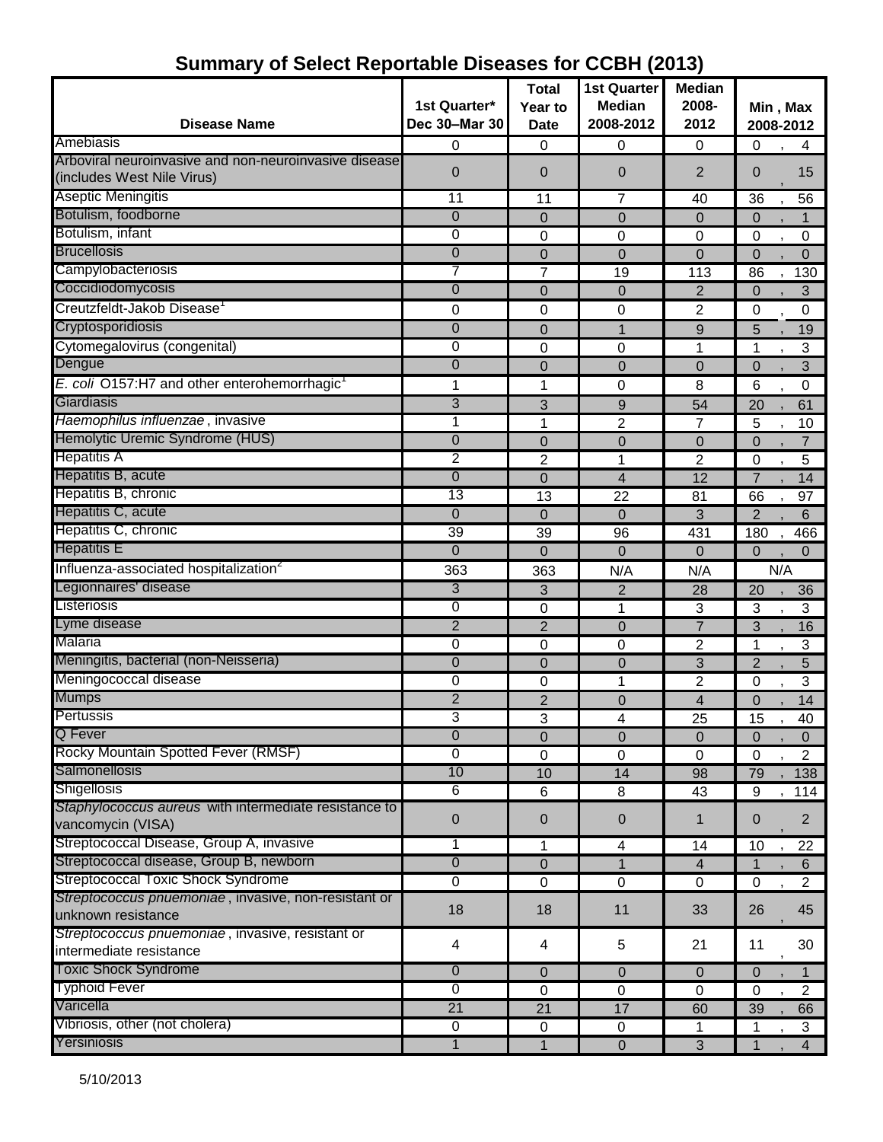|                                                          |                | <b>Total</b>    | <b>1st Quarter</b>      | <b>Median</b>  |                                  |
|----------------------------------------------------------|----------------|-----------------|-------------------------|----------------|----------------------------------|
|                                                          | 1st Quarter*   | Year to         | <b>Median</b>           | 2008-          | Min, Max                         |
| <b>Disease Name</b>                                      | Dec 30-Mar 30  | <b>Date</b>     | 2008-2012               | 2012           | 2008-2012                        |
| Amebiasis                                                | 0              | 0               | 0                       | $\mathbf 0$    | $\mathbf 0$<br>4                 |
| Arboviral neuroinvasive and non-neuroinvasive disease    | 0              | $\overline{0}$  | $\overline{0}$          | $\overline{2}$ | $\mathbf{0}$<br>15               |
| (includes West Nile Virus)                               |                |                 |                         |                |                                  |
| <b>Aseptic Meningitis</b>                                | 11             | 11              | 7                       | 40             | 36<br>56                         |
| Botulism, foodborne                                      | $\overline{0}$ | 0               | $\mathbf{0}$            | $\mathbf 0$    | $\mathbf{0}$                     |
| Botulism, infant                                         | $\overline{0}$ | $\mathbf 0$     | 0                       | $\mathbf 0$    | 0<br>0                           |
| <b>Brucellosis</b>                                       | 0              | $\mathbf 0$     | $\mathbf 0$             | $\mathbf 0$    | $\mathbf 0$<br>$\mathbf 0$       |
| Campylobacteriosis                                       | 7              | 7               | 19                      | 113            | 86<br>130                        |
| Coccidiodomycosis                                        | 0              | $\mathbf 0$     | $\mathbf 0$             | $\overline{2}$ | 3<br>$\mathbf 0$                 |
| Creutzfeldt-Jakob Disease                                | 0              | 0               | $\mathbf 0$             | 2              | $\pmb{0}$<br>$\pmb{0}$           |
| Cryptosporidiosis                                        | 0              | $\overline{0}$  | $\mathbf{1}$            | 9              | 19<br>5                          |
| Cytomegalovirus (congenital)                             | 0              | $\mathbf 0$     | 0                       | 1              | 3<br>1                           |
| Dengue                                                   | 0              | $\overline{0}$  | $\Omega$                | $\Omega$       | 3<br>$\mathbf 0$                 |
| E. coli O157:H7 and other enterohemorrhagic <sup>1</sup> | 1              | 1               | 0                       | 8              | 6<br>$\boldsymbol{0}$            |
| Giardiasis                                               | $\overline{3}$ | 3               | $9$                     | 54             | 20<br>61                         |
| Haemophilus influenzae, invasive                         | 1              | 1               | 2                       | 7              | 5<br>10                          |
| Hemolytic Uremic Syndrome (HUS)                          | 0              | $\overline{0}$  | $\mathbf 0$             | $\overline{0}$ | $\mathbf 0$<br>$\overline{7}$    |
| <b>Hepatitis A</b>                                       | $\overline{2}$ | 2               | 1                       | $\overline{2}$ | 5<br>0                           |
| Hepatitis B, acute                                       | 0              | $\mathbf 0$     | $\overline{4}$          | 12             | $\overline{7}$<br>14             |
| Hepatitis B, chronic                                     | 13             | 13              | 22                      | 81             | 66<br>97                         |
| Hepatitis C, acute                                       | 0              | $\overline{0}$  | $\Omega$                | 3              | $\overline{2}$<br>6              |
| Hepatitis C, chronic                                     | 39             | 39              | 96                      | 431            | 180<br>466                       |
| <b>Hepatitis E</b>                                       | $\overline{0}$ | $\overline{0}$  | $\Omega$                | $\Omega$       | $\mathbf 0$<br>$\Omega$          |
| Influenza-associated hospitalization <sup>2</sup>        | 363            | 363             | N/A                     | N/A            | N/A                              |
| Legionnaires' disease                                    | 3              | 3               | $\overline{2}$          | 28             | 20<br>36                         |
| Listeriosis                                              | $\overline{0}$ | $\mathbf 0$     | 1                       | 3              | 3<br>3                           |
| Lyme disease                                             | $\overline{2}$ | $\overline{2}$  | $\overline{0}$          | $\overline{7}$ | 3<br>16                          |
| Malaria                                                  | 0              | $\mathbf 0$     | $\Omega$                | $\overline{2}$ | 1<br>3                           |
| Meningitis, bacterial (non-Neisseria)                    | 0              | $\overline{0}$  | $\mathbf 0$             | 3              | $\overline{2}$<br>5              |
| Meningococcal disease                                    | 0              | 0               | 1                       | $\overline{2}$ | 3<br>0                           |
| <b>Mumps</b>                                             | $\overline{2}$ | $\overline{2}$  | $\overline{0}$          | $\overline{4}$ | 14<br>$\mathbf 0$                |
| Pertussis                                                | 3              | 3               | 4                       | 25             | 15<br>40                         |
| <b>Q</b> Fever                                           | $\overline{0}$ | 0               | $\pmb{0}$               | $\mathbf 0$    | 0<br>$\mathbf 0$                 |
| Rocky Mountain Spotted Fever (RMSF)                      | $\mathbf 0$    | 0               | 0                       | $\mathbf 0$    | $\overline{2}$<br>0              |
| <b>Salmonellosis</b>                                     | 10             | 10              | 14                      | 98             | 79<br>138                        |
| <b>Shigellosis</b>                                       | 6              | 6               | 8                       | 43             | 9<br>114                         |
| Staphylococcus aureus with intermediate resistance to    |                |                 |                         |                | $\overline{2}$<br>$\overline{0}$ |
| vancomycin (VISA)                                        | 0              | 0               | $\pmb{0}$               | $\mathbf 1$    |                                  |
| Streptococcal Disease, Group A, invasive                 | 1              | 1               | $\overline{\mathbf{4}}$ | 14             | 10<br>22                         |
| Streptococcal disease, Group B, newborn                  | $\overline{0}$ | 0               | 1                       | $\overline{4}$ | 6                                |
| <b>Streptococcal Toxic Shock Syndrome</b>                | $\overline{0}$ | $\pmb{0}$       | $\mathbf 0$             | 0              | $\overline{2}$<br>0              |
| Streptococcus pnuemoniae, invasive, non-resistant or     | 18             | 18              | 11                      | 33             | 45<br>26                         |
| unknown resistance                                       |                |                 |                         |                |                                  |
| Streptococcus pnuemoniae, invasive, resistant or         | 4              | 4               | 5                       | 21             | 30<br>11                         |
| intermediate resistance                                  |                |                 |                         |                |                                  |
| <b>Toxic Shock Syndrome</b>                              | $\overline{0}$ | $\mathbf 0$     | $\mathbf 0$             | $\mathbf{0}$   | $\mathbf{0}$<br>1                |
| <b>Typhoid Fever</b>                                     | $\overline{0}$ | 0               | $\mathbf 0$             | $\Omega$       | $\overline{2}$<br>0              |
| Varicella                                                | 21             | $\overline{21}$ | 17                      | 60             | 39<br>66                         |
| Vibriosis, other (not cholera)                           | $\overline{0}$ | $\pmb{0}$       | $\mathbf 0$             | 1              | 3                                |
| Yersiniosis                                              | 1              | $\overline{1}$  | $\overline{0}$          | 3              | $\overline{4}$<br>1              |

# **Summary of Select Reportable Diseases for CCBH (2013)**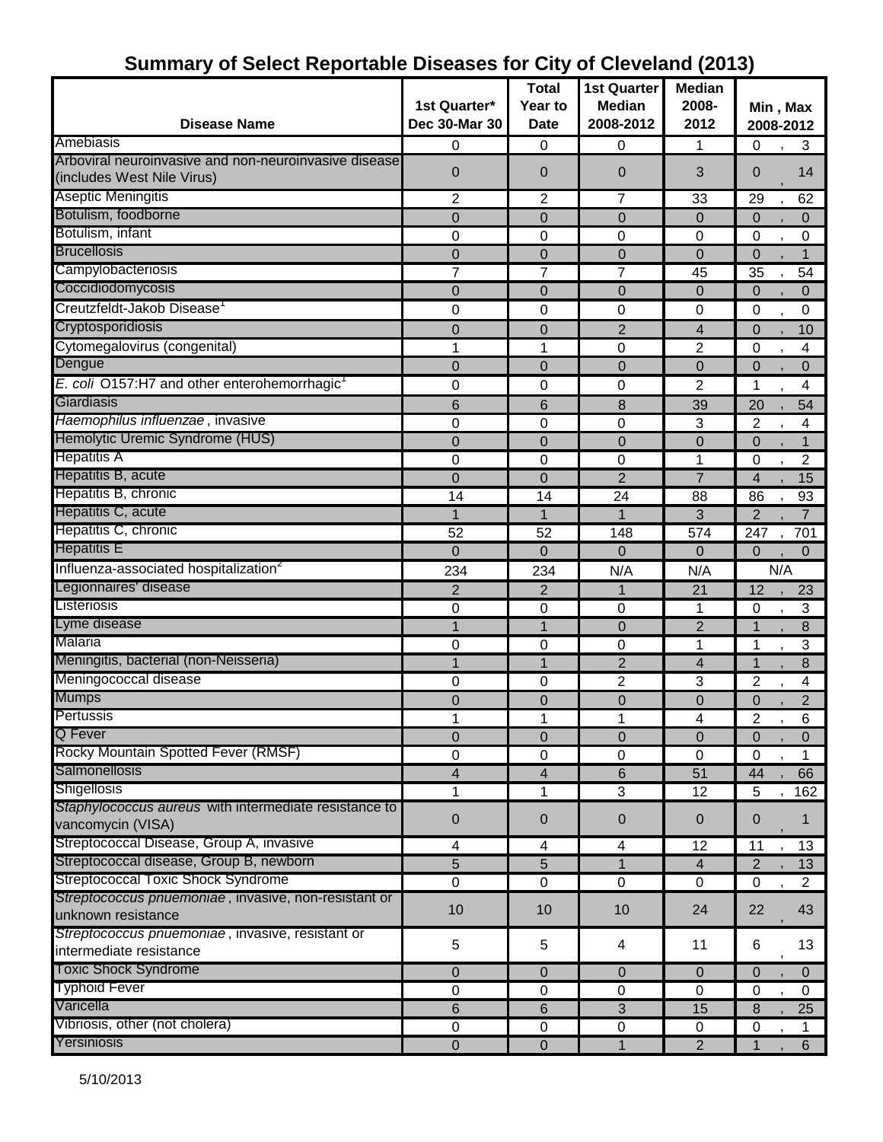|                                                          |                      | <b>Total</b>            | <b>1st Quarter</b>      | <b>Median</b>  |                                  |
|----------------------------------------------------------|----------------------|-------------------------|-------------------------|----------------|----------------------------------|
|                                                          | 1st Quarter*         | Year to                 | <b>Median</b>           | 2008-          | Min, Max                         |
| <b>Disease Name</b>                                      | <b>Dec 30-Mar 30</b> | <b>Date</b>             | 2008-2012               | 2012           | 2008-2012                        |
| Amebiasis                                                | 0                    | 0                       | 0                       | 1              | 0<br>3                           |
| Arboviral neuroinvasive and non-neuroinvasive disease    | $\overline{0}$       | $\overline{0}$          | 0                       | 3              | 14<br>0                          |
| (includes West Nile Virus)                               |                      |                         |                         |                |                                  |
| <b>Aseptic Meningitis</b>                                | $\overline{c}$       | $\overline{2}$          | $\overline{7}$          | 33             | 29<br>62                         |
| Botulism, foodborne                                      | $\overline{0}$       | $\overline{0}$          | $\overline{0}$          | 0              | 0<br>0                           |
| Botulism, infant                                         | 0                    | $\mathbf 0$             | 0                       | $\mathbf 0$    | $\mathbf 0$<br>0                 |
| <b>Brucellosis</b>                                       | 0                    | $\overline{0}$          | $\mathbf 0$             | $\overline{0}$ | 0<br>1                           |
| Campylobacteriosis                                       | 7                    | 7                       | 7                       | 45             | 35<br>54                         |
| Coccidiodomycosis                                        | 0                    | $\overline{0}$          | 0                       | 0              | 0<br>0                           |
| Creutzfeldt-Jakob Disease                                | 0                    | 0                       | $\mathbf 0$             | $\mathbf 0$    | 0<br>0                           |
| Cryptosporidiosis                                        | $\overline{0}$       | $\Omega$                | $\overline{2}$          | 4              | $\overline{0}$<br>10             |
| Cytomegalovirus (congenital)                             | 1                    | 1                       | $\mathbf 0$             | 2              | $\mathbf 0$<br>4                 |
| Dengue                                                   | $\overline{0}$       | $\mathbf 0$             | $\mathbf 0$             | $\mathbf 0$    | $\boldsymbol{0}$<br>0            |
| E. coli O157:H7 and other enterohemorrhagic <sup>1</sup> | 0                    | 0                       | 0                       | $\overline{c}$ | 1<br>4                           |
| Giardiasis                                               | 6                    | 6                       | 8                       | 39             | 20<br>54                         |
| Haemophilus influenzae, invasive                         | 0                    | 0                       | 0                       | 3              | 2<br>4                           |
| Hemolytic Uremic Syndrome (HUS)                          | $\overline{0}$       | $\Omega$                | $\overline{0}$          | 0              | 0<br>1                           |
| <b>Hepatitis A</b>                                       | 0                    | 0                       | 0                       | 1              | $\overline{c}$<br>0              |
| Hepatitis B, acute                                       | $\overline{0}$       | $\overline{0}$          | $\overline{2}$          | $\overline{7}$ | $\overline{4}$<br>15             |
| Hepatitis B, chronic                                     | 14                   | 14                      | 24                      | 88             | 86<br>93                         |
| Hepatitis C, acute                                       | 1                    | 1                       | 1                       | 3              | $\overline{2}$<br>$\overline{7}$ |
| Hepatitis C, chronic                                     | 52                   | 52                      | 148                     | 574            | 701<br>247                       |
| <b>Hepatitis E</b>                                       | 0                    | $\overline{0}$          | 0                       | 0              | 0<br>$\mathbf 0$                 |
| Influenza-associated hospitalization <sup>2</sup>        | 234                  | 234                     | N/A                     | N/A            | N/A                              |
| Legionnaires' disease                                    | $\overline{2}$       | $\overline{2}$          | $\mathbf{1}$            | 21             | 12<br>23                         |
| Listeriosis                                              | 0                    | $\mathbf 0$             | $\overline{0}$          | 1              | 3<br>0                           |
| Lyme disease                                             |                      | 1                       | $\mathbf 0$             | $\overline{2}$ | $\mathbf{1}$<br>8                |
| Malaria                                                  | 0                    | 0                       | 0                       | 1              | 3<br>1                           |
| Meningitis, bacterial (non-Neisseria)                    | 1                    | 1                       | $\overline{2}$          | 4              | 8<br>$\mathbf{1}$                |
| Meningococcal disease                                    | 0                    | 0                       | $\overline{2}$          | 3              | 2<br>4                           |
| <b>Mumps</b>                                             | 0                    | 0                       | 0                       | 0              | $\overline{2}$<br>0              |
| Pertussis                                                | 1                    | 1                       | 1                       | 4              | $\overline{2}$<br>$\,6\,$        |
| Q Fever                                                  | $\overline{0}$       | $\mathbf 0$             | $\mathbf 0$             | $\mathbf 0$    | $\overline{0}$<br>0              |
| Rocky Mountain Spotted Fever (RMSF)                      | 0                    | $\boldsymbol{0}$        | $\pmb{0}$               | $\mathbf 0$    | 0                                |
| Salmonellosis                                            | 4                    | 4                       | 6                       | 51             | 44<br>66                         |
| <b>Shigellosis</b>                                       | 1                    | 1                       | $\overline{3}$          | 12             | 5<br>162                         |
| Staphylococcus aureus with intermediate resistance to    |                      |                         |                         |                |                                  |
| vancomycin (VISA)                                        | $\pmb{0}$            | $\mathbf 0$             | $\mathbf 0$             | $\mathbf 0$    | 0<br>1                           |
| Streptococcal Disease, Group A, invasive                 | 4                    | $\overline{\mathbf{4}}$ | $\overline{\mathbf{4}}$ | 12             | 13<br>11                         |
| Streptococcal disease, Group B, newborn                  | $\overline{5}$       | 5                       | $\mathbf{1}$            | $\overline{4}$ | $\overline{2}$<br>13             |
| Streptococcal Toxic Shock Syndrome                       | $\mathbf 0$          | $\mathbf 0$             | $\mathbf 0$             | $\mathbf 0$    | $\mathbf 0$<br>$\overline{2}$    |
| Streptococcus pnuemoniae, invasive, non-resistant or     | 10                   | 10                      | 10                      | 24             | 22<br>43                         |
| unknown resistance                                       |                      |                         |                         |                |                                  |
| Streptococcus pnuemoniae, invasive, resistant or         | 5                    | 5                       | 4                       | 11             | 13<br>6                          |
| intermediate resistance                                  |                      |                         |                         |                |                                  |
| <b>Toxic Shock Syndrome</b>                              | $\mathbf{0}$         | $\pmb{0}$               | $\mathbf{0}$            | $\overline{0}$ | $\mathbf 0$<br>$\overline{0}$    |
| <b>Typhoid Fever</b>                                     | 0                    | 0                       | 0                       | 0              | 0<br>0                           |
| Varicella                                                | 6                    | 6                       | 3                       | 15             | 25<br>8                          |
| Vibriosis, other (not cholera)                           | 0                    | $\pmb{0}$               | $\mathbf 0$             | 0              | $\mathbf 0$<br>$\mathbf{1}$      |
| Yersiniosis                                              | $\pmb{0}$            | $\mathbf 0$             | $\mathbf{1}$            | $\overline{2}$ | $\mathbf{1}$<br>$6\overline{6}$  |

#### **Summary of Select Reportable Diseases for City of Cleveland (2013)**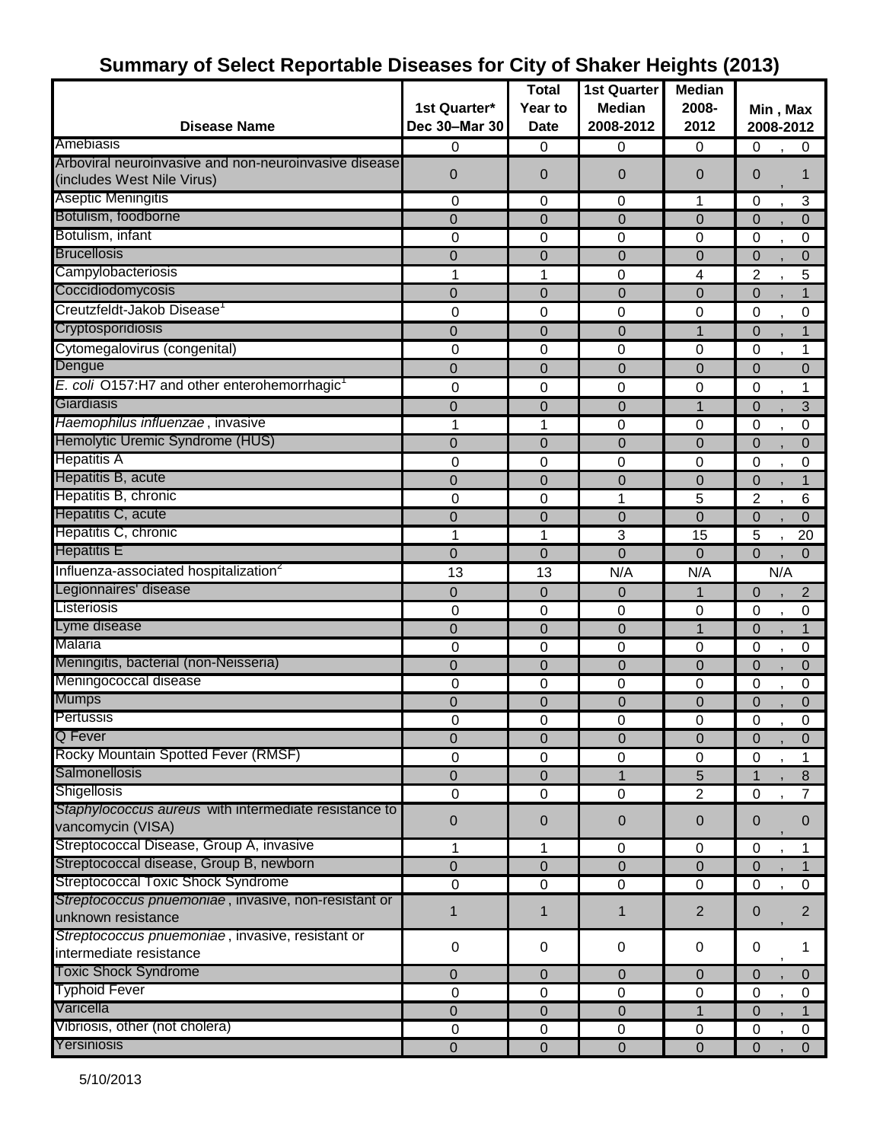| 1st Quarter*<br><b>Median</b><br>2008-<br>Year to<br>Min, Max<br>Dec 30-Mar 30<br>2008-2012<br><b>Disease Name</b><br><b>Date</b><br>2012<br>2008-2012<br>0<br>0<br>0<br>$\mathbf 0$<br>0<br>0<br>$\overline{0}$<br>$\overline{0}$<br>$\overline{0}$<br>$\overline{0}$<br>0<br>(includes West Nile Virus)<br>3<br>0<br>0<br>0<br>1<br>0<br>Botulism, foodborne<br>$\Omega$<br>$\overline{0}$<br>$\Omega$<br>$\mathbf 0$<br>$\Omega$<br>$\Omega$<br>Botulism, infant<br>0<br>0<br>0<br>0<br>$\pmb{0}$<br>0<br>$\overline{0}$<br>$\mathbf 0$<br>$\overline{0}$<br>$\pmb{0}$<br>$\overline{0}$<br>0<br>Campylobacteriosis<br>1<br>0<br>$\overline{2}$<br>4<br>5<br>Coccidiodomycosis<br>$\overline{0}$<br>$\mathbf 0$<br>$\mathbf 0$<br>$\overline{0}$<br>$\mathbf{0}$<br>Creutzfeldt-Jakob Disease<br>0<br>0<br>0<br>0<br>0<br>0<br>$\Omega$<br>$\Omega$<br>$\Omega$<br>$\mathbf 1$<br>$\overline{0}$<br>1<br>Cytomegalovirus (congenital)<br>0<br>0<br>0<br>0<br>0<br>1<br>$\mathbf 0$<br>$\mathbf 0$<br>$\overline{0}$<br>$\overline{0}$<br>$\overline{0}$<br>$\overline{0}$<br>E. coli O157:H7 and other enterohemorrhagic<br>0<br>0<br>0<br>$\mathbf 0$<br>0<br>1<br>Giardiasis<br>3<br>0<br>$\mathbf 0$<br>0<br>$\mathbf{1}$<br>$\overline{0}$<br>Haemophilus influenzae, invasive<br>1<br>0<br>$\boldsymbol{0}$<br>1<br>0<br>0<br>$\mathbf 0$<br>$\overline{0}$<br>$\overline{0}$<br>0<br>$\overline{0}$<br>$\mathbf 0$<br>0<br>0<br>0<br>0<br>0<br>0<br>$\mathbf 0$<br>$\mathbf 0$<br>$\mathbf 0$<br>$\overline{0}$<br>$\overline{0}$<br>$\overline{2}$<br>0<br>0<br>1<br>5<br>6<br>$\mathbf 0$<br>$\mathbf 0$<br>$\overline{0}$<br>$\overline{0}$<br>$\mathbf{0}$<br>$\Omega$<br>3<br>1<br>1<br>15<br>5<br>20<br>$\overline{0}$<br>$\overline{0}$<br>$\overline{0}$<br>$\overline{0}$<br>$\Omega$<br>$\mathbf 0$<br>Influenza-associated hospitalization <sup>2</sup><br>N/A<br>N/A<br>N/A<br>13<br>13<br>$\mathbf 0$<br>$\overline{2}$<br>0<br>0<br>0<br>1<br>0<br>0<br>0<br>$\mathbf 0$<br>0<br>0<br>Lyme disease<br>$\overline{0}$<br>0<br>1<br>$\mathbf 0$<br>0<br>0<br>0<br>0<br>0<br>0<br>0<br>Meningitis, bacterial (non-Neisseria)<br>$\mathbf 0$<br>$\mathbf 0$<br>0<br>$\mathbf 0$<br>$\mathbf 0$<br>$\mathbf{0}$<br>Meningococcal disease<br>0<br>0<br>0<br>$\mathbf 0$<br>0<br>0<br><b>Mumps</b><br>$\overline{0}$<br>0<br>$\overline{0}$<br>0<br>0<br>0<br>Pertussis<br>0<br>$\mathbf 0$<br>0<br>0<br>0<br>$\pmb{0}$<br><b>Q</b> Fever<br>$\overline{0}$<br>$\mathbf 0$<br>$\overline{0}$<br>$\Omega$<br>$\mathbf{0}$<br>$\mathbf{0}$<br>Rocky Mountain Spotted Fever (RMSF)<br>0<br>$\pmb{0}$<br>$\pmb{0}$<br>0<br>$\boldsymbol{0}$<br>Salmonellosis<br>$\boldsymbol{0}$<br>$\pmb{0}$<br>5<br>1<br>8<br><b>Shigellosis</b><br>$\overline{2}$<br>$\pmb{0}$<br>$\pmb{0}$<br>$\mathbf 0$<br>$\overline{7}$<br>$\mathbf 0$<br>Staphylococcus aureus with intermediate resistance to<br>$\mathbf 0$<br>$\mathbf 0$<br>$\mathbf{0}$<br>0<br>0<br>0<br>vancomycin (VISA)<br>Streptococcal Disease, Group A, invasive<br>1<br>1<br>0<br>0<br>0<br>1<br>Streptococcal disease, Group B, newborn<br>$\mathbf 0$<br>$\mathbf 0$<br>$\mathbf 0$<br>$\mathbf 0$<br>$\mathbf{0}$<br>1<br>Streptococcal Toxic Shock Syndrome<br>0<br>0<br>$\mathbf 0$<br>$\pmb{0}$<br>0<br>$\mathbf 0$<br>Streptococcus pnuemoniae, invasive, non-resistant or<br>$\overline{2}$<br>$\overline{2}$<br>0<br>1<br>1<br>1<br>unknown resistance<br>Streptococcus pnuemoniae, invasive, resistant or<br>$\pmb{0}$<br>0<br>$\pmb{0}$<br>$\boldsymbol{0}$<br>0<br>1 |                                                       | <b>Total</b> | <b>1st Quarter</b> | <b>Median</b> |  |
|----------------------------------------------------------------------------------------------------------------------------------------------------------------------------------------------------------------------------------------------------------------------------------------------------------------------------------------------------------------------------------------------------------------------------------------------------------------------------------------------------------------------------------------------------------------------------------------------------------------------------------------------------------------------------------------------------------------------------------------------------------------------------------------------------------------------------------------------------------------------------------------------------------------------------------------------------------------------------------------------------------------------------------------------------------------------------------------------------------------------------------------------------------------------------------------------------------------------------------------------------------------------------------------------------------------------------------------------------------------------------------------------------------------------------------------------------------------------------------------------------------------------------------------------------------------------------------------------------------------------------------------------------------------------------------------------------------------------------------------------------------------------------------------------------------------------------------------------------------------------------------------------------------------------------------------------------------------------------------------------------------------------------------------------------------------------------------------------------------------------------------------------------------------------------------------------------------------------------------------------------------------------------------------------------------------------------------------------------------------------------------------------------------------------------------------------------------------------------------------------------------------------------------------------------------------------------------------------------------------------------------------------------------------------------------------------------------------------------------------------------------------------------------------------------------------------------------------------------------------------------------------------------------------------------------------------------------------------------------------------------------------------------------------------------------------------------------------------------------------------------------------------------------------------------------------------------------------------------------------------------------------------------------------------------------------------------------------------------------------------------------------------------------------------------------------------------------------------------------------------------------------------------------------------------|-------------------------------------------------------|--------------|--------------------|---------------|--|
|                                                                                                                                                                                                                                                                                                                                                                                                                                                                                                                                                                                                                                                                                                                                                                                                                                                                                                                                                                                                                                                                                                                                                                                                                                                                                                                                                                                                                                                                                                                                                                                                                                                                                                                                                                                                                                                                                                                                                                                                                                                                                                                                                                                                                                                                                                                                                                                                                                                                                                                                                                                                                                                                                                                                                                                                                                                                                                                                                                                                                                                                                                                                                                                                                                                                                                                                                                                                                                                                                                                                                    |                                                       |              |                    |               |  |
|                                                                                                                                                                                                                                                                                                                                                                                                                                                                                                                                                                                                                                                                                                                                                                                                                                                                                                                                                                                                                                                                                                                                                                                                                                                                                                                                                                                                                                                                                                                                                                                                                                                                                                                                                                                                                                                                                                                                                                                                                                                                                                                                                                                                                                                                                                                                                                                                                                                                                                                                                                                                                                                                                                                                                                                                                                                                                                                                                                                                                                                                                                                                                                                                                                                                                                                                                                                                                                                                                                                                                    |                                                       |              |                    |               |  |
|                                                                                                                                                                                                                                                                                                                                                                                                                                                                                                                                                                                                                                                                                                                                                                                                                                                                                                                                                                                                                                                                                                                                                                                                                                                                                                                                                                                                                                                                                                                                                                                                                                                                                                                                                                                                                                                                                                                                                                                                                                                                                                                                                                                                                                                                                                                                                                                                                                                                                                                                                                                                                                                                                                                                                                                                                                                                                                                                                                                                                                                                                                                                                                                                                                                                                                                                                                                                                                                                                                                                                    | Amebiasis                                             |              |                    |               |  |
|                                                                                                                                                                                                                                                                                                                                                                                                                                                                                                                                                                                                                                                                                                                                                                                                                                                                                                                                                                                                                                                                                                                                                                                                                                                                                                                                                                                                                                                                                                                                                                                                                                                                                                                                                                                                                                                                                                                                                                                                                                                                                                                                                                                                                                                                                                                                                                                                                                                                                                                                                                                                                                                                                                                                                                                                                                                                                                                                                                                                                                                                                                                                                                                                                                                                                                                                                                                                                                                                                                                                                    | Arboviral neuroinvasive and non-neuroinvasive disease |              |                    |               |  |
|                                                                                                                                                                                                                                                                                                                                                                                                                                                                                                                                                                                                                                                                                                                                                                                                                                                                                                                                                                                                                                                                                                                                                                                                                                                                                                                                                                                                                                                                                                                                                                                                                                                                                                                                                                                                                                                                                                                                                                                                                                                                                                                                                                                                                                                                                                                                                                                                                                                                                                                                                                                                                                                                                                                                                                                                                                                                                                                                                                                                                                                                                                                                                                                                                                                                                                                                                                                                                                                                                                                                                    |                                                       |              |                    |               |  |
|                                                                                                                                                                                                                                                                                                                                                                                                                                                                                                                                                                                                                                                                                                                                                                                                                                                                                                                                                                                                                                                                                                                                                                                                                                                                                                                                                                                                                                                                                                                                                                                                                                                                                                                                                                                                                                                                                                                                                                                                                                                                                                                                                                                                                                                                                                                                                                                                                                                                                                                                                                                                                                                                                                                                                                                                                                                                                                                                                                                                                                                                                                                                                                                                                                                                                                                                                                                                                                                                                                                                                    | <b>Aseptic Meningitis</b>                             |              |                    |               |  |
|                                                                                                                                                                                                                                                                                                                                                                                                                                                                                                                                                                                                                                                                                                                                                                                                                                                                                                                                                                                                                                                                                                                                                                                                                                                                                                                                                                                                                                                                                                                                                                                                                                                                                                                                                                                                                                                                                                                                                                                                                                                                                                                                                                                                                                                                                                                                                                                                                                                                                                                                                                                                                                                                                                                                                                                                                                                                                                                                                                                                                                                                                                                                                                                                                                                                                                                                                                                                                                                                                                                                                    |                                                       |              |                    |               |  |
|                                                                                                                                                                                                                                                                                                                                                                                                                                                                                                                                                                                                                                                                                                                                                                                                                                                                                                                                                                                                                                                                                                                                                                                                                                                                                                                                                                                                                                                                                                                                                                                                                                                                                                                                                                                                                                                                                                                                                                                                                                                                                                                                                                                                                                                                                                                                                                                                                                                                                                                                                                                                                                                                                                                                                                                                                                                                                                                                                                                                                                                                                                                                                                                                                                                                                                                                                                                                                                                                                                                                                    |                                                       |              |                    |               |  |
|                                                                                                                                                                                                                                                                                                                                                                                                                                                                                                                                                                                                                                                                                                                                                                                                                                                                                                                                                                                                                                                                                                                                                                                                                                                                                                                                                                                                                                                                                                                                                                                                                                                                                                                                                                                                                                                                                                                                                                                                                                                                                                                                                                                                                                                                                                                                                                                                                                                                                                                                                                                                                                                                                                                                                                                                                                                                                                                                                                                                                                                                                                                                                                                                                                                                                                                                                                                                                                                                                                                                                    | <b>Brucellosis</b>                                    |              |                    |               |  |
|                                                                                                                                                                                                                                                                                                                                                                                                                                                                                                                                                                                                                                                                                                                                                                                                                                                                                                                                                                                                                                                                                                                                                                                                                                                                                                                                                                                                                                                                                                                                                                                                                                                                                                                                                                                                                                                                                                                                                                                                                                                                                                                                                                                                                                                                                                                                                                                                                                                                                                                                                                                                                                                                                                                                                                                                                                                                                                                                                                                                                                                                                                                                                                                                                                                                                                                                                                                                                                                                                                                                                    |                                                       |              |                    |               |  |
|                                                                                                                                                                                                                                                                                                                                                                                                                                                                                                                                                                                                                                                                                                                                                                                                                                                                                                                                                                                                                                                                                                                                                                                                                                                                                                                                                                                                                                                                                                                                                                                                                                                                                                                                                                                                                                                                                                                                                                                                                                                                                                                                                                                                                                                                                                                                                                                                                                                                                                                                                                                                                                                                                                                                                                                                                                                                                                                                                                                                                                                                                                                                                                                                                                                                                                                                                                                                                                                                                                                                                    |                                                       |              |                    |               |  |
|                                                                                                                                                                                                                                                                                                                                                                                                                                                                                                                                                                                                                                                                                                                                                                                                                                                                                                                                                                                                                                                                                                                                                                                                                                                                                                                                                                                                                                                                                                                                                                                                                                                                                                                                                                                                                                                                                                                                                                                                                                                                                                                                                                                                                                                                                                                                                                                                                                                                                                                                                                                                                                                                                                                                                                                                                                                                                                                                                                                                                                                                                                                                                                                                                                                                                                                                                                                                                                                                                                                                                    |                                                       |              |                    |               |  |
|                                                                                                                                                                                                                                                                                                                                                                                                                                                                                                                                                                                                                                                                                                                                                                                                                                                                                                                                                                                                                                                                                                                                                                                                                                                                                                                                                                                                                                                                                                                                                                                                                                                                                                                                                                                                                                                                                                                                                                                                                                                                                                                                                                                                                                                                                                                                                                                                                                                                                                                                                                                                                                                                                                                                                                                                                                                                                                                                                                                                                                                                                                                                                                                                                                                                                                                                                                                                                                                                                                                                                    | Cryptosporidiosis                                     |              |                    |               |  |
|                                                                                                                                                                                                                                                                                                                                                                                                                                                                                                                                                                                                                                                                                                                                                                                                                                                                                                                                                                                                                                                                                                                                                                                                                                                                                                                                                                                                                                                                                                                                                                                                                                                                                                                                                                                                                                                                                                                                                                                                                                                                                                                                                                                                                                                                                                                                                                                                                                                                                                                                                                                                                                                                                                                                                                                                                                                                                                                                                                                                                                                                                                                                                                                                                                                                                                                                                                                                                                                                                                                                                    |                                                       |              |                    |               |  |
|                                                                                                                                                                                                                                                                                                                                                                                                                                                                                                                                                                                                                                                                                                                                                                                                                                                                                                                                                                                                                                                                                                                                                                                                                                                                                                                                                                                                                                                                                                                                                                                                                                                                                                                                                                                                                                                                                                                                                                                                                                                                                                                                                                                                                                                                                                                                                                                                                                                                                                                                                                                                                                                                                                                                                                                                                                                                                                                                                                                                                                                                                                                                                                                                                                                                                                                                                                                                                                                                                                                                                    | Dengue                                                |              |                    |               |  |
|                                                                                                                                                                                                                                                                                                                                                                                                                                                                                                                                                                                                                                                                                                                                                                                                                                                                                                                                                                                                                                                                                                                                                                                                                                                                                                                                                                                                                                                                                                                                                                                                                                                                                                                                                                                                                                                                                                                                                                                                                                                                                                                                                                                                                                                                                                                                                                                                                                                                                                                                                                                                                                                                                                                                                                                                                                                                                                                                                                                                                                                                                                                                                                                                                                                                                                                                                                                                                                                                                                                                                    |                                                       |              |                    |               |  |
|                                                                                                                                                                                                                                                                                                                                                                                                                                                                                                                                                                                                                                                                                                                                                                                                                                                                                                                                                                                                                                                                                                                                                                                                                                                                                                                                                                                                                                                                                                                                                                                                                                                                                                                                                                                                                                                                                                                                                                                                                                                                                                                                                                                                                                                                                                                                                                                                                                                                                                                                                                                                                                                                                                                                                                                                                                                                                                                                                                                                                                                                                                                                                                                                                                                                                                                                                                                                                                                                                                                                                    |                                                       |              |                    |               |  |
|                                                                                                                                                                                                                                                                                                                                                                                                                                                                                                                                                                                                                                                                                                                                                                                                                                                                                                                                                                                                                                                                                                                                                                                                                                                                                                                                                                                                                                                                                                                                                                                                                                                                                                                                                                                                                                                                                                                                                                                                                                                                                                                                                                                                                                                                                                                                                                                                                                                                                                                                                                                                                                                                                                                                                                                                                                                                                                                                                                                                                                                                                                                                                                                                                                                                                                                                                                                                                                                                                                                                                    |                                                       |              |                    |               |  |
|                                                                                                                                                                                                                                                                                                                                                                                                                                                                                                                                                                                                                                                                                                                                                                                                                                                                                                                                                                                                                                                                                                                                                                                                                                                                                                                                                                                                                                                                                                                                                                                                                                                                                                                                                                                                                                                                                                                                                                                                                                                                                                                                                                                                                                                                                                                                                                                                                                                                                                                                                                                                                                                                                                                                                                                                                                                                                                                                                                                                                                                                                                                                                                                                                                                                                                                                                                                                                                                                                                                                                    | Hemolytic Uremic Syndrome (HUS)                       |              |                    |               |  |
|                                                                                                                                                                                                                                                                                                                                                                                                                                                                                                                                                                                                                                                                                                                                                                                                                                                                                                                                                                                                                                                                                                                                                                                                                                                                                                                                                                                                                                                                                                                                                                                                                                                                                                                                                                                                                                                                                                                                                                                                                                                                                                                                                                                                                                                                                                                                                                                                                                                                                                                                                                                                                                                                                                                                                                                                                                                                                                                                                                                                                                                                                                                                                                                                                                                                                                                                                                                                                                                                                                                                                    | <b>Hepatitis A</b>                                    |              |                    |               |  |
|                                                                                                                                                                                                                                                                                                                                                                                                                                                                                                                                                                                                                                                                                                                                                                                                                                                                                                                                                                                                                                                                                                                                                                                                                                                                                                                                                                                                                                                                                                                                                                                                                                                                                                                                                                                                                                                                                                                                                                                                                                                                                                                                                                                                                                                                                                                                                                                                                                                                                                                                                                                                                                                                                                                                                                                                                                                                                                                                                                                                                                                                                                                                                                                                                                                                                                                                                                                                                                                                                                                                                    | Hepatitis B, acute                                    |              |                    |               |  |
|                                                                                                                                                                                                                                                                                                                                                                                                                                                                                                                                                                                                                                                                                                                                                                                                                                                                                                                                                                                                                                                                                                                                                                                                                                                                                                                                                                                                                                                                                                                                                                                                                                                                                                                                                                                                                                                                                                                                                                                                                                                                                                                                                                                                                                                                                                                                                                                                                                                                                                                                                                                                                                                                                                                                                                                                                                                                                                                                                                                                                                                                                                                                                                                                                                                                                                                                                                                                                                                                                                                                                    | Hepatitis B, chronic                                  |              |                    |               |  |
|                                                                                                                                                                                                                                                                                                                                                                                                                                                                                                                                                                                                                                                                                                                                                                                                                                                                                                                                                                                                                                                                                                                                                                                                                                                                                                                                                                                                                                                                                                                                                                                                                                                                                                                                                                                                                                                                                                                                                                                                                                                                                                                                                                                                                                                                                                                                                                                                                                                                                                                                                                                                                                                                                                                                                                                                                                                                                                                                                                                                                                                                                                                                                                                                                                                                                                                                                                                                                                                                                                                                                    | Hepatitis C, acute                                    |              |                    |               |  |
|                                                                                                                                                                                                                                                                                                                                                                                                                                                                                                                                                                                                                                                                                                                                                                                                                                                                                                                                                                                                                                                                                                                                                                                                                                                                                                                                                                                                                                                                                                                                                                                                                                                                                                                                                                                                                                                                                                                                                                                                                                                                                                                                                                                                                                                                                                                                                                                                                                                                                                                                                                                                                                                                                                                                                                                                                                                                                                                                                                                                                                                                                                                                                                                                                                                                                                                                                                                                                                                                                                                                                    | Hepatitis C, chronic                                  |              |                    |               |  |
|                                                                                                                                                                                                                                                                                                                                                                                                                                                                                                                                                                                                                                                                                                                                                                                                                                                                                                                                                                                                                                                                                                                                                                                                                                                                                                                                                                                                                                                                                                                                                                                                                                                                                                                                                                                                                                                                                                                                                                                                                                                                                                                                                                                                                                                                                                                                                                                                                                                                                                                                                                                                                                                                                                                                                                                                                                                                                                                                                                                                                                                                                                                                                                                                                                                                                                                                                                                                                                                                                                                                                    | <b>Hepatitis E</b>                                    |              |                    |               |  |
|                                                                                                                                                                                                                                                                                                                                                                                                                                                                                                                                                                                                                                                                                                                                                                                                                                                                                                                                                                                                                                                                                                                                                                                                                                                                                                                                                                                                                                                                                                                                                                                                                                                                                                                                                                                                                                                                                                                                                                                                                                                                                                                                                                                                                                                                                                                                                                                                                                                                                                                                                                                                                                                                                                                                                                                                                                                                                                                                                                                                                                                                                                                                                                                                                                                                                                                                                                                                                                                                                                                                                    |                                                       |              |                    |               |  |
|                                                                                                                                                                                                                                                                                                                                                                                                                                                                                                                                                                                                                                                                                                                                                                                                                                                                                                                                                                                                                                                                                                                                                                                                                                                                                                                                                                                                                                                                                                                                                                                                                                                                                                                                                                                                                                                                                                                                                                                                                                                                                                                                                                                                                                                                                                                                                                                                                                                                                                                                                                                                                                                                                                                                                                                                                                                                                                                                                                                                                                                                                                                                                                                                                                                                                                                                                                                                                                                                                                                                                    | Legionnaires' disease                                 |              |                    |               |  |
|                                                                                                                                                                                                                                                                                                                                                                                                                                                                                                                                                                                                                                                                                                                                                                                                                                                                                                                                                                                                                                                                                                                                                                                                                                                                                                                                                                                                                                                                                                                                                                                                                                                                                                                                                                                                                                                                                                                                                                                                                                                                                                                                                                                                                                                                                                                                                                                                                                                                                                                                                                                                                                                                                                                                                                                                                                                                                                                                                                                                                                                                                                                                                                                                                                                                                                                                                                                                                                                                                                                                                    | Listeriosis                                           |              |                    |               |  |
|                                                                                                                                                                                                                                                                                                                                                                                                                                                                                                                                                                                                                                                                                                                                                                                                                                                                                                                                                                                                                                                                                                                                                                                                                                                                                                                                                                                                                                                                                                                                                                                                                                                                                                                                                                                                                                                                                                                                                                                                                                                                                                                                                                                                                                                                                                                                                                                                                                                                                                                                                                                                                                                                                                                                                                                                                                                                                                                                                                                                                                                                                                                                                                                                                                                                                                                                                                                                                                                                                                                                                    |                                                       |              |                    |               |  |
|                                                                                                                                                                                                                                                                                                                                                                                                                                                                                                                                                                                                                                                                                                                                                                                                                                                                                                                                                                                                                                                                                                                                                                                                                                                                                                                                                                                                                                                                                                                                                                                                                                                                                                                                                                                                                                                                                                                                                                                                                                                                                                                                                                                                                                                                                                                                                                                                                                                                                                                                                                                                                                                                                                                                                                                                                                                                                                                                                                                                                                                                                                                                                                                                                                                                                                                                                                                                                                                                                                                                                    | Malaria                                               |              |                    |               |  |
|                                                                                                                                                                                                                                                                                                                                                                                                                                                                                                                                                                                                                                                                                                                                                                                                                                                                                                                                                                                                                                                                                                                                                                                                                                                                                                                                                                                                                                                                                                                                                                                                                                                                                                                                                                                                                                                                                                                                                                                                                                                                                                                                                                                                                                                                                                                                                                                                                                                                                                                                                                                                                                                                                                                                                                                                                                                                                                                                                                                                                                                                                                                                                                                                                                                                                                                                                                                                                                                                                                                                                    |                                                       |              |                    |               |  |
|                                                                                                                                                                                                                                                                                                                                                                                                                                                                                                                                                                                                                                                                                                                                                                                                                                                                                                                                                                                                                                                                                                                                                                                                                                                                                                                                                                                                                                                                                                                                                                                                                                                                                                                                                                                                                                                                                                                                                                                                                                                                                                                                                                                                                                                                                                                                                                                                                                                                                                                                                                                                                                                                                                                                                                                                                                                                                                                                                                                                                                                                                                                                                                                                                                                                                                                                                                                                                                                                                                                                                    |                                                       |              |                    |               |  |
|                                                                                                                                                                                                                                                                                                                                                                                                                                                                                                                                                                                                                                                                                                                                                                                                                                                                                                                                                                                                                                                                                                                                                                                                                                                                                                                                                                                                                                                                                                                                                                                                                                                                                                                                                                                                                                                                                                                                                                                                                                                                                                                                                                                                                                                                                                                                                                                                                                                                                                                                                                                                                                                                                                                                                                                                                                                                                                                                                                                                                                                                                                                                                                                                                                                                                                                                                                                                                                                                                                                                                    |                                                       |              |                    |               |  |
|                                                                                                                                                                                                                                                                                                                                                                                                                                                                                                                                                                                                                                                                                                                                                                                                                                                                                                                                                                                                                                                                                                                                                                                                                                                                                                                                                                                                                                                                                                                                                                                                                                                                                                                                                                                                                                                                                                                                                                                                                                                                                                                                                                                                                                                                                                                                                                                                                                                                                                                                                                                                                                                                                                                                                                                                                                                                                                                                                                                                                                                                                                                                                                                                                                                                                                                                                                                                                                                                                                                                                    |                                                       |              |                    |               |  |
|                                                                                                                                                                                                                                                                                                                                                                                                                                                                                                                                                                                                                                                                                                                                                                                                                                                                                                                                                                                                                                                                                                                                                                                                                                                                                                                                                                                                                                                                                                                                                                                                                                                                                                                                                                                                                                                                                                                                                                                                                                                                                                                                                                                                                                                                                                                                                                                                                                                                                                                                                                                                                                                                                                                                                                                                                                                                                                                                                                                                                                                                                                                                                                                                                                                                                                                                                                                                                                                                                                                                                    |                                                       |              |                    |               |  |
|                                                                                                                                                                                                                                                                                                                                                                                                                                                                                                                                                                                                                                                                                                                                                                                                                                                                                                                                                                                                                                                                                                                                                                                                                                                                                                                                                                                                                                                                                                                                                                                                                                                                                                                                                                                                                                                                                                                                                                                                                                                                                                                                                                                                                                                                                                                                                                                                                                                                                                                                                                                                                                                                                                                                                                                                                                                                                                                                                                                                                                                                                                                                                                                                                                                                                                                                                                                                                                                                                                                                                    |                                                       |              |                    |               |  |
|                                                                                                                                                                                                                                                                                                                                                                                                                                                                                                                                                                                                                                                                                                                                                                                                                                                                                                                                                                                                                                                                                                                                                                                                                                                                                                                                                                                                                                                                                                                                                                                                                                                                                                                                                                                                                                                                                                                                                                                                                                                                                                                                                                                                                                                                                                                                                                                                                                                                                                                                                                                                                                                                                                                                                                                                                                                                                                                                                                                                                                                                                                                                                                                                                                                                                                                                                                                                                                                                                                                                                    |                                                       |              |                    |               |  |
|                                                                                                                                                                                                                                                                                                                                                                                                                                                                                                                                                                                                                                                                                                                                                                                                                                                                                                                                                                                                                                                                                                                                                                                                                                                                                                                                                                                                                                                                                                                                                                                                                                                                                                                                                                                                                                                                                                                                                                                                                                                                                                                                                                                                                                                                                                                                                                                                                                                                                                                                                                                                                                                                                                                                                                                                                                                                                                                                                                                                                                                                                                                                                                                                                                                                                                                                                                                                                                                                                                                                                    |                                                       |              |                    |               |  |
|                                                                                                                                                                                                                                                                                                                                                                                                                                                                                                                                                                                                                                                                                                                                                                                                                                                                                                                                                                                                                                                                                                                                                                                                                                                                                                                                                                                                                                                                                                                                                                                                                                                                                                                                                                                                                                                                                                                                                                                                                                                                                                                                                                                                                                                                                                                                                                                                                                                                                                                                                                                                                                                                                                                                                                                                                                                                                                                                                                                                                                                                                                                                                                                                                                                                                                                                                                                                                                                                                                                                                    |                                                       |              |                    |               |  |
|                                                                                                                                                                                                                                                                                                                                                                                                                                                                                                                                                                                                                                                                                                                                                                                                                                                                                                                                                                                                                                                                                                                                                                                                                                                                                                                                                                                                                                                                                                                                                                                                                                                                                                                                                                                                                                                                                                                                                                                                                                                                                                                                                                                                                                                                                                                                                                                                                                                                                                                                                                                                                                                                                                                                                                                                                                                                                                                                                                                                                                                                                                                                                                                                                                                                                                                                                                                                                                                                                                                                                    |                                                       |              |                    |               |  |
|                                                                                                                                                                                                                                                                                                                                                                                                                                                                                                                                                                                                                                                                                                                                                                                                                                                                                                                                                                                                                                                                                                                                                                                                                                                                                                                                                                                                                                                                                                                                                                                                                                                                                                                                                                                                                                                                                                                                                                                                                                                                                                                                                                                                                                                                                                                                                                                                                                                                                                                                                                                                                                                                                                                                                                                                                                                                                                                                                                                                                                                                                                                                                                                                                                                                                                                                                                                                                                                                                                                                                    |                                                       |              |                    |               |  |
|                                                                                                                                                                                                                                                                                                                                                                                                                                                                                                                                                                                                                                                                                                                                                                                                                                                                                                                                                                                                                                                                                                                                                                                                                                                                                                                                                                                                                                                                                                                                                                                                                                                                                                                                                                                                                                                                                                                                                                                                                                                                                                                                                                                                                                                                                                                                                                                                                                                                                                                                                                                                                                                                                                                                                                                                                                                                                                                                                                                                                                                                                                                                                                                                                                                                                                                                                                                                                                                                                                                                                    |                                                       |              |                    |               |  |
|                                                                                                                                                                                                                                                                                                                                                                                                                                                                                                                                                                                                                                                                                                                                                                                                                                                                                                                                                                                                                                                                                                                                                                                                                                                                                                                                                                                                                                                                                                                                                                                                                                                                                                                                                                                                                                                                                                                                                                                                                                                                                                                                                                                                                                                                                                                                                                                                                                                                                                                                                                                                                                                                                                                                                                                                                                                                                                                                                                                                                                                                                                                                                                                                                                                                                                                                                                                                                                                                                                                                                    |                                                       |              |                    |               |  |
|                                                                                                                                                                                                                                                                                                                                                                                                                                                                                                                                                                                                                                                                                                                                                                                                                                                                                                                                                                                                                                                                                                                                                                                                                                                                                                                                                                                                                                                                                                                                                                                                                                                                                                                                                                                                                                                                                                                                                                                                                                                                                                                                                                                                                                                                                                                                                                                                                                                                                                                                                                                                                                                                                                                                                                                                                                                                                                                                                                                                                                                                                                                                                                                                                                                                                                                                                                                                                                                                                                                                                    |                                                       |              |                    |               |  |
|                                                                                                                                                                                                                                                                                                                                                                                                                                                                                                                                                                                                                                                                                                                                                                                                                                                                                                                                                                                                                                                                                                                                                                                                                                                                                                                                                                                                                                                                                                                                                                                                                                                                                                                                                                                                                                                                                                                                                                                                                                                                                                                                                                                                                                                                                                                                                                                                                                                                                                                                                                                                                                                                                                                                                                                                                                                                                                                                                                                                                                                                                                                                                                                                                                                                                                                                                                                                                                                                                                                                                    |                                                       |              |                    |               |  |
|                                                                                                                                                                                                                                                                                                                                                                                                                                                                                                                                                                                                                                                                                                                                                                                                                                                                                                                                                                                                                                                                                                                                                                                                                                                                                                                                                                                                                                                                                                                                                                                                                                                                                                                                                                                                                                                                                                                                                                                                                                                                                                                                                                                                                                                                                                                                                                                                                                                                                                                                                                                                                                                                                                                                                                                                                                                                                                                                                                                                                                                                                                                                                                                                                                                                                                                                                                                                                                                                                                                                                    | intermediate resistance                               |              |                    |               |  |
| $\mathbf 0$<br>$\pmb{0}$<br>$\pmb{0}$<br>0<br>$\overline{0}$<br>$\mathbf{0}$                                                                                                                                                                                                                                                                                                                                                                                                                                                                                                                                                                                                                                                                                                                                                                                                                                                                                                                                                                                                                                                                                                                                                                                                                                                                                                                                                                                                                                                                                                                                                                                                                                                                                                                                                                                                                                                                                                                                                                                                                                                                                                                                                                                                                                                                                                                                                                                                                                                                                                                                                                                                                                                                                                                                                                                                                                                                                                                                                                                                                                                                                                                                                                                                                                                                                                                                                                                                                                                                       | <b>Toxic Shock Syndrome</b>                           |              |                    |               |  |
| 0<br>0<br>0<br>$\boldsymbol{0}$<br>0<br>$\pmb{0}$                                                                                                                                                                                                                                                                                                                                                                                                                                                                                                                                                                                                                                                                                                                                                                                                                                                                                                                                                                                                                                                                                                                                                                                                                                                                                                                                                                                                                                                                                                                                                                                                                                                                                                                                                                                                                                                                                                                                                                                                                                                                                                                                                                                                                                                                                                                                                                                                                                                                                                                                                                                                                                                                                                                                                                                                                                                                                                                                                                                                                                                                                                                                                                                                                                                                                                                                                                                                                                                                                                  | <b>Typhoid Fever</b>                                  |              |                    |               |  |
| $\pmb{0}$<br>$\mathbf 0$<br>0<br>$\mathbf 0$<br>1                                                                                                                                                                                                                                                                                                                                                                                                                                                                                                                                                                                                                                                                                                                                                                                                                                                                                                                                                                                                                                                                                                                                                                                                                                                                                                                                                                                                                                                                                                                                                                                                                                                                                                                                                                                                                                                                                                                                                                                                                                                                                                                                                                                                                                                                                                                                                                                                                                                                                                                                                                                                                                                                                                                                                                                                                                                                                                                                                                                                                                                                                                                                                                                                                                                                                                                                                                                                                                                                                                  | Varicella                                             |              |                    |               |  |
| Vibriosis, other (not cholera)<br>$\pmb{0}$<br>$\pmb{0}$<br>0<br>0<br>0<br>0                                                                                                                                                                                                                                                                                                                                                                                                                                                                                                                                                                                                                                                                                                                                                                                                                                                                                                                                                                                                                                                                                                                                                                                                                                                                                                                                                                                                                                                                                                                                                                                                                                                                                                                                                                                                                                                                                                                                                                                                                                                                                                                                                                                                                                                                                                                                                                                                                                                                                                                                                                                                                                                                                                                                                                                                                                                                                                                                                                                                                                                                                                                                                                                                                                                                                                                                                                                                                                                                       |                                                       |              |                    |               |  |
| $\mathbf 0$<br>$\mathbf 0$<br>$\overline{0}$<br>$\mathbf 0$<br>$\mathbf{0}$<br>$\mathbf{0}$                                                                                                                                                                                                                                                                                                                                                                                                                                                                                                                                                                                                                                                                                                                                                                                                                                                                                                                                                                                                                                                                                                                                                                                                                                                                                                                                                                                                                                                                                                                                                                                                                                                                                                                                                                                                                                                                                                                                                                                                                                                                                                                                                                                                                                                                                                                                                                                                                                                                                                                                                                                                                                                                                                                                                                                                                                                                                                                                                                                                                                                                                                                                                                                                                                                                                                                                                                                                                                                        | Yersiniosis                                           |              |                    |               |  |

### **Summary of Select Reportable Diseases for City of Shaker Heights (2013)**